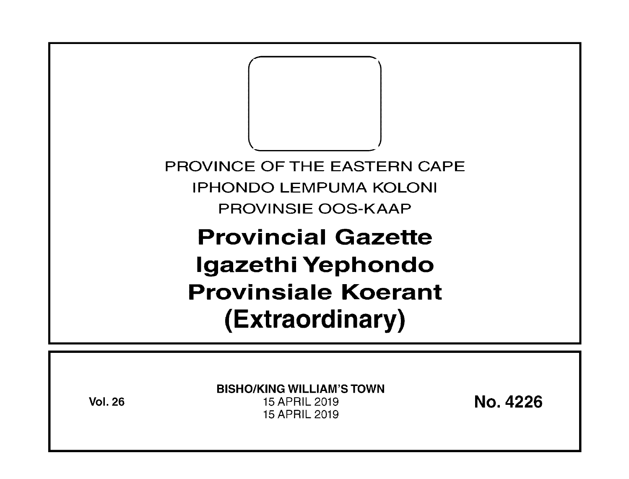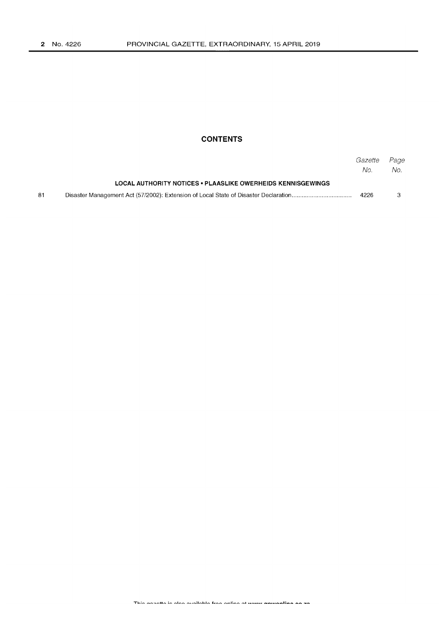# **CONTENTS**

|    |                                                             | Gazette<br>No. | Page<br>No. |
|----|-------------------------------------------------------------|----------------|-------------|
|    | LOCAL AUTHORITY NOTICES • PLAASLIKE OWERHEIDS KENNISGEWINGS |                |             |
| 81 |                                                             | 4226           |             |